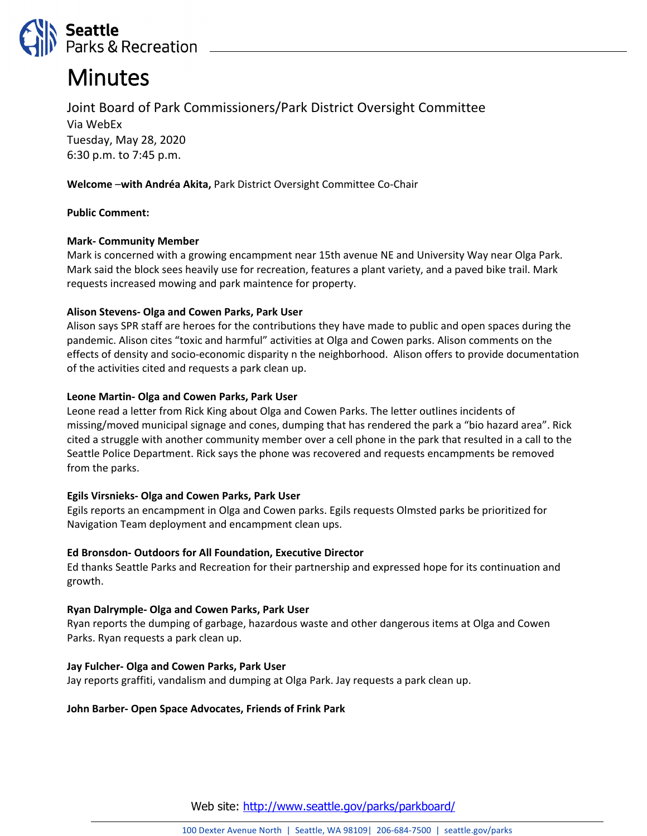

# **Minutes**

Joint Board of Park Commissioners/Park District Oversight Committee Via WebEx Tuesday, May 28, 2020 6:30 p.m. to 7:45 p.m.

### **Welcome** –**with Andréa Akita,** Park District Oversight Committee Co-Chair

#### **Public Comment:**

## **Mark- Community Member**

Mark is concerned with a growing encampment near 15th avenue NE and University Way near Olga Park. Mark said the block sees heavily use for recreation, features a plant variety, and a paved bike trail. Mark requests increased mowing and park maintence for property.

#### **Alison Stevens- Olga and Cowen Parks, Park User**

Alison says SPR staff are heroes for the contributions they have made to public and open spaces during the pandemic. Alison cites "toxic and harmful" activities at Olga and Cowen parks. Alison comments on the effects of density and socio-economic disparity n the neighborhood. Alison offers to provide documentation of the activities cited and requests a park clean up.

## **Leone Martin- Olga and Cowen Parks, Park User**

Leone read a letter from Rick King about Olga and Cowen Parks. The letter outlines incidents of missing/moved municipal signage and cones, dumping that has rendered the park a "bio hazard area". Rick cited a struggle with another community member over a cell phone in the park that resulted in a call to the Seattle Police Department. Rick says the phone was recovered and requests encampments be removed from the parks.

# **Egils Virsnieks- Olga and Cowen Parks, Park User**

Egils reports an encampment in Olga and Cowen parks. Egils requests Olmsted parks be prioritized for Navigation Team deployment and encampment clean ups.

# **Ed Bronsdon- Outdoors for All Foundation, Executive Director**

Ed thanks Seattle Parks and Recreation for their partnership and expressed hope for its continuation and growth.

#### **Ryan Dalrymple- Olga and Cowen Parks, Park User**

Ryan reports the dumping of garbage, hazardous waste and other dangerous items at Olga and Cowen Parks. Ryan requests a park clean up.

#### **Jay Fulcher- Olga and Cowen Parks, Park User**

Jay reports graffiti, vandalism and dumping at Olga Park. Jay requests a park clean up.

#### **John Barber- Open Space Advocates, Friends of Frink Park**

Web site: <http://www.seattle.gov/parks/parkboard/>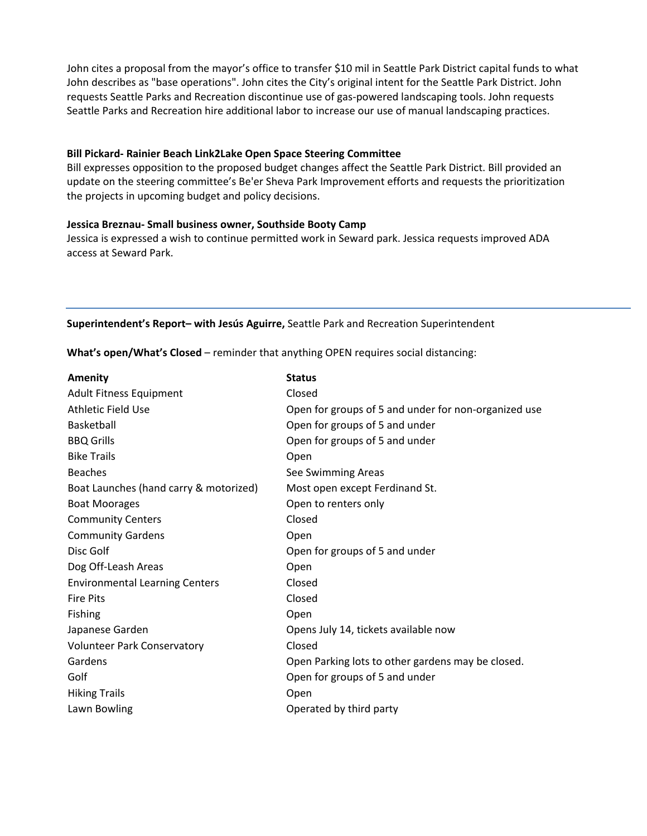John cites a proposal from the mayor's office to transfer \$10 mil in Seattle Park District capital funds to what John describes as "base operations". John cites the City's original intent for the Seattle Park District. John requests Seattle Parks and Recreation discontinue use of gas-powered landscaping tools. John requests Seattle Parks and Recreation hire additional labor to increase our use of manual landscaping practices.

#### **Bill Pickard- Rainier Beach Link2Lake Open Space Steering Committee**

Bill expresses opposition to the proposed budget changes affect the Seattle Park District. Bill provided an update on the steering committee's Be'er Sheva Park Improvement efforts and requests the prioritization the projects in upcoming budget and policy decisions.

#### **Jessica Breznau- Small business owner, Southside Booty Camp**

Jessica is expressed a wish to continue permitted work in Seward park. Jessica requests improved ADA access at Seward Park.

**Superintendent's Report– with Jesús Aguirre,** Seattle Park and Recreation Superintendent

**What's open/What's Closed** – reminder that anything OPEN requires social distancing:

| <b>Amenity</b>                         | <b>Status</b>                                        |
|----------------------------------------|------------------------------------------------------|
| <b>Adult Fitness Equipment</b>         | Closed                                               |
| <b>Athletic Field Use</b>              | Open for groups of 5 and under for non-organized use |
| <b>Basketball</b>                      | Open for groups of 5 and under                       |
| <b>BBQ Grills</b>                      | Open for groups of 5 and under                       |
| <b>Bike Trails</b>                     | Open                                                 |
| <b>Beaches</b>                         | See Swimming Areas                                   |
| Boat Launches (hand carry & motorized) | Most open except Ferdinand St.                       |
| <b>Boat Moorages</b>                   | Open to renters only                                 |
| <b>Community Centers</b>               | Closed                                               |
| <b>Community Gardens</b>               | Open                                                 |
| Disc Golf                              | Open for groups of 5 and under                       |
| Dog Off-Leash Areas                    | Open                                                 |
| <b>Environmental Learning Centers</b>  | Closed                                               |
| <b>Fire Pits</b>                       | Closed                                               |
| Fishing                                | Open                                                 |
| Japanese Garden                        | Opens July 14, tickets available now                 |
| <b>Volunteer Park Conservatory</b>     | Closed                                               |
| Gardens                                | Open Parking lots to other gardens may be closed.    |
| Golf                                   | Open for groups of 5 and under                       |
| <b>Hiking Trails</b>                   | Open                                                 |
| Lawn Bowling                           | Operated by third party                              |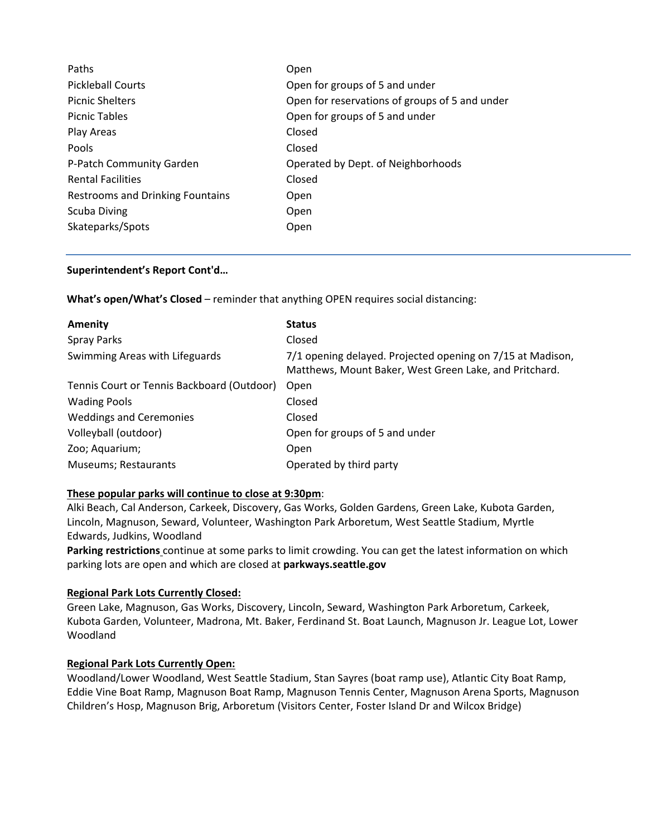| Open                                           |
|------------------------------------------------|
| Open for groups of 5 and under                 |
| Open for reservations of groups of 5 and under |
| Open for groups of 5 and under                 |
| Closed                                         |
| Closed                                         |
| Operated by Dept. of Neighborhoods             |
| Closed                                         |
| Open                                           |
| Open                                           |
| Open                                           |
|                                                |

#### **Superintendent's Report Cont'd…**

**What's open/What's Closed** – reminder that anything OPEN requires social distancing:

| Amenity                                    | <b>Status</b>                                                                                                        |
|--------------------------------------------|----------------------------------------------------------------------------------------------------------------------|
| <b>Spray Parks</b>                         | Closed                                                                                                               |
| Swimming Areas with Lifeguards             | 7/1 opening delayed. Projected opening on 7/15 at Madison,<br>Matthews, Mount Baker, West Green Lake, and Pritchard. |
| Tennis Court or Tennis Backboard (Outdoor) | Open                                                                                                                 |
| <b>Wading Pools</b>                        | Closed                                                                                                               |
| <b>Weddings and Ceremonies</b>             | Closed                                                                                                               |
| Volleyball (outdoor)                       | Open for groups of 5 and under                                                                                       |
| Zoo; Aquarium;                             | Open                                                                                                                 |
| Museums; Restaurants                       | Operated by third party                                                                                              |

#### **These popular parks will continue to close at 9:30pm**:

Alki Beach, Cal Anderson, Carkeek, Discovery, Gas Works, Golden Gardens, Green Lake, Kubota Garden, Lincoln, Magnuson, Seward, Volunteer, Washington Park Arboretum, West Seattle Stadium, Myrtle Edwards, Judkins, Woodland

**Parking restrictions** continue at some parks to limit crowding. You can get the latest information on which parking lots are open and which are closed at **parkways.seattle.gov**

#### **Regional Park Lots Currently Closed:**

Green Lake, Magnuson, Gas Works, Discovery, Lincoln, Seward, Washington Park Arboretum, Carkeek, Kubota Garden, Volunteer, Madrona, Mt. Baker, Ferdinand St. Boat Launch, Magnuson Jr. League Lot, Lower Woodland

#### **Regional Park Lots Currently Open:**

Woodland/Lower Woodland, West Seattle Stadium, Stan Sayres (boat ramp use), Atlantic City Boat Ramp, Eddie Vine Boat Ramp, Magnuson Boat Ramp, Magnuson Tennis Center, Magnuson Arena Sports, Magnuson Children's Hosp, Magnuson Brig, Arboretum (Visitors Center, Foster Island Dr and Wilcox Bridge)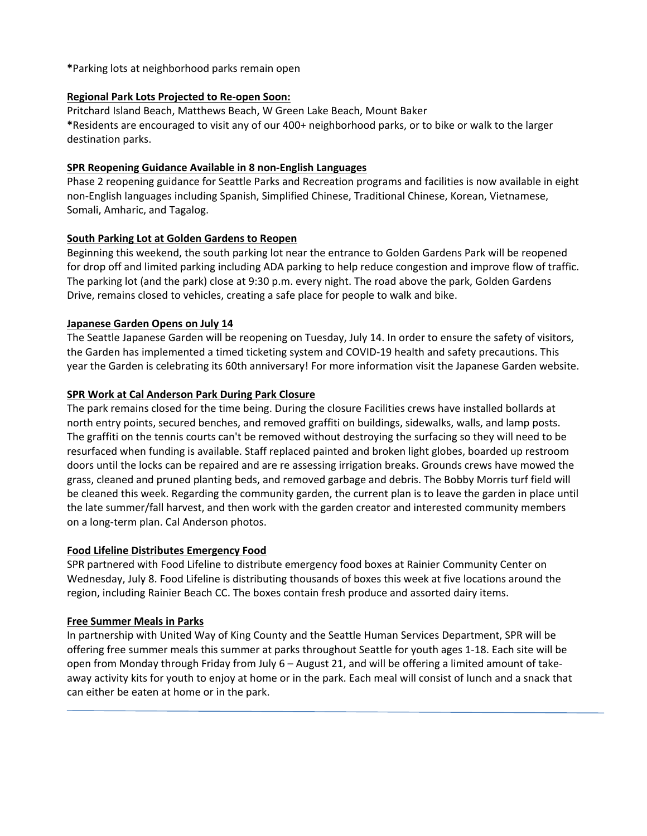**\***Parking lots at neighborhood parks remain open

#### **Regional Park Lots Projected to Re-open Soon:**

Pritchard Island Beach, Matthews Beach, W Green Lake Beach, Mount Baker **\***Residents are encouraged to visit any of our 400+ neighborhood parks, or to bike or walk to the larger destination parks.

#### **SPR Reopening Guidance Available in 8 non-English Languages**

Phase 2 reopening guidance for Seattle Parks and Recreation programs and facilities is now available in eight non-English languages including Spanish, Simplified Chinese, Traditional Chinese, Korean, Vietnamese, Somali, Amharic, and Tagalog.

#### **South Parking Lot at Golden Gardens to Reopen**

Beginning this weekend, the south parking lot near the entrance to Golden Gardens Park will be reopened for drop off and limited parking including ADA parking to help reduce congestion and improve flow of traffic. The parking lot (and the park) close at 9:30 p.m. every night. The road above the park, Golden Gardens Drive, remains closed to vehicles, creating a safe place for people to walk and bike.

#### **Japanese Garden Opens on July 14**

The Seattle Japanese Garden will be reopening on Tuesday, July 14. In order to ensure the safety of visitors, the Garden has implemented a timed ticketing system and COVID-19 health and safety precautions. This year the Garden is celebrating its 60th anniversary! For more information visit the Japanese Garden [website.](http://www.seattlejapanesegarden.org/)

## **SPR Work at Cal Anderson Park During Park Closure**

The park remains closed for the time being. During the closure Facilities crews have installed bollards at north entry points, secured benches, and removed graffiti on buildings, sidewalks, walls, and lamp posts. The graffiti on the tennis courts can't be removed without destroying the surfacing so they will need to be resurfaced when funding is available. Staff replaced painted and broken light globes, boarded up restroom doors until the locks can be repaired and are re assessing irrigation breaks. Grounds crews have mowed the grass, cleaned and pruned planting beds, and removed garbage and debris. The Bobby Morris turf field will be cleaned this week. Regarding the community garden, the current plan is to leave the garden in place until the late summer/fall harvest, and then work with the garden creator and interested community members on a long-term plan[. Cal Anderson photos.](https://photos.app.goo.gl/899dh1LAZh7xhvhK9)

#### **Food Lifeline Distributes Emergency Food**

SPR partnered with Food Lifeline to distribute emergency food boxes at Rainier Community Center on Wednesday, July 8. Food Lifeline is distributing thousands of boxes this week at five locations around the region, including Rainier Beach CC. The boxes contain fresh produce and assorted dairy items.

#### **Free Summer Meals in Parks**

In partnership with [United Way of King County](https://www.uwkc.org/free-summer-meals/) and the [Seattle Human Services Department,](https://www.seattle.gov/humanservices/services-and-programs/youth/summer-food-service-program) SPR will be offering free summer meals this summer at parks throughout Seattle for youth ages 1-18. Each site will be open from Monday through Friday from July 6 – August 21, and will be offering a limited amount of takeaway activity kits for youth to enjoy at home or in the park. Each meal will consist of lunch and a snack that can either be eaten at home or in the park.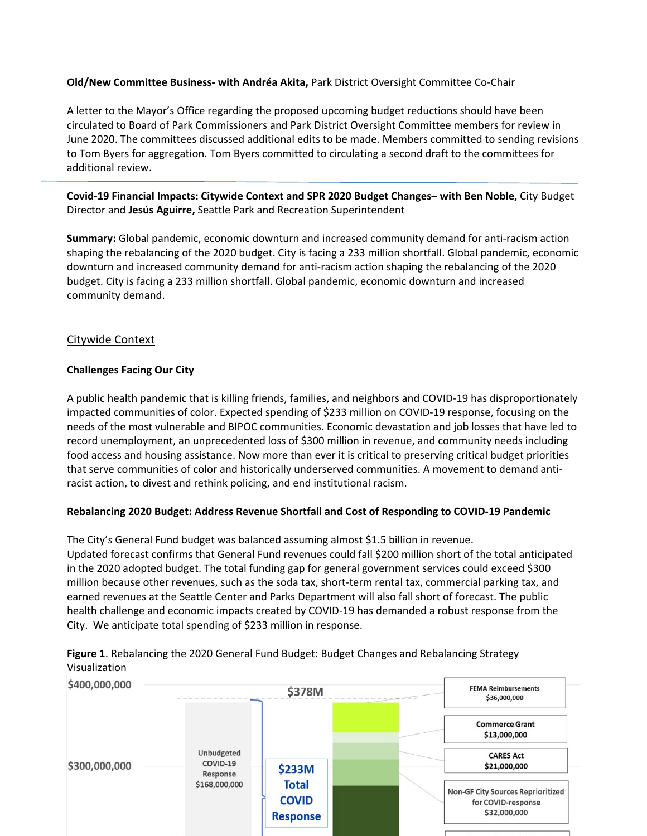#### **Old/New Committee Business- with Andréa Akita,** Park District Oversight Committee Co-Chair

A letter to the Mayor's Office regarding the proposed upcoming budget reductions should have been circulated to Board of Park Commissioners and Park District Oversight Committee members for review in June 2020. The committees discussed additional edits to be made. Members committed to sending revisions to Tom Byers for aggregation. Tom Byers committed to circulating a second draft to the committees for additional review.

**Covid-19 Financial Impacts: Citywide Context and SPR 2020 Budget Changes– with Ben Noble,** City Budget Director and **Jesús Aguirre,** Seattle Park and Recreation Superintendent

**Summary:** Global pandemic, economic downturn and increased community demand for anti-racism action shaping the rebalancing of the 2020 budget. City is facing a 233 million shortfall. Global pandemic, economic downturn and increased community demand for anti-racism action shaping the rebalancing of the 2020 budget. City is facing a 233 million shortfall. Global pandemic, economic downturn and increased community demand.

#### Citywide Context

#### **Challenges Facing Our City**

A public health pandemic that is killing friends, families, and neighbors and COVID-19 has disproportionately impacted communities of color. Expected spending of \$233 million on COVID-19 response, focusing on the needs of the most vulnerable and BIPOC communities. Economic devastation and job losses that have led to record unemployment, an unprecedented loss of \$300 million in revenue, and community needs including food access and housing assistance. Now more than ever it is critical to preserving critical budget priorities that serve communities of color and historically underserved communities. A movement to demand antiracist action, to divest and rethink policing, and end institutional racism.

#### **Rebalancing 2020 Budget: Address Revenue Shortfall and Cost of Responding to COVID-19 Pandemic**

The City's General Fund budget was balanced assuming almost \$1.5 billion in revenue. Updated forecast confirms that General Fund revenues could fall \$200 million short of the total anticipated in the 2020 adopted budget. The total funding gap for general government services could exceed \$300 million because other revenues, such as the soda tax, short-term rental tax, commercial parking tax, and earned revenues at the Seattle Center and Parks Department will also fall short of forecast. The public health challenge and economic impacts created by COVID-19 has demanded a robust response from the City. We anticipate total spending of \$233 million in response.



**Figure 1**. Rebalancing the 2020 General Fund Budget: Budget Changes and Rebalancing Strategy Visualization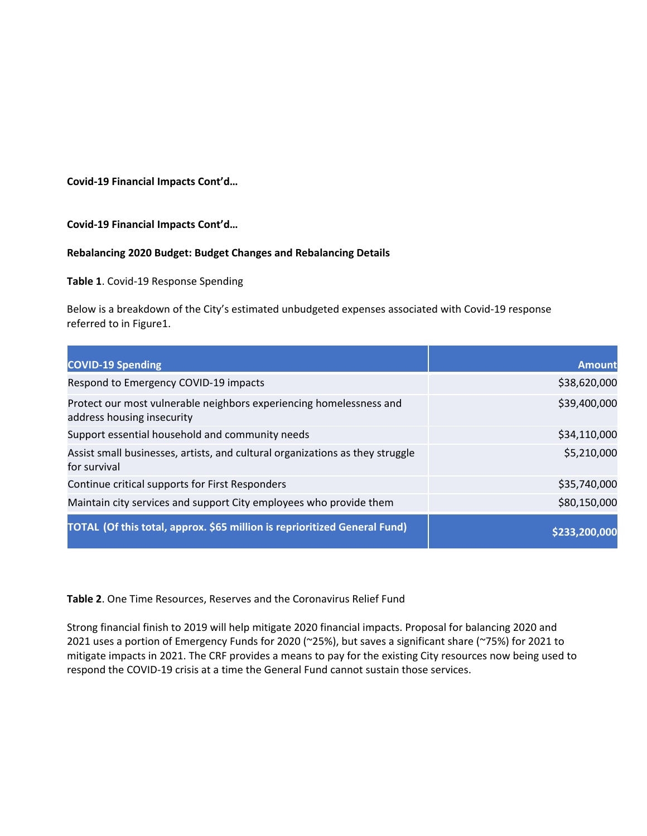**Covid-19 Financial Impacts Cont'd…**

**Covid-19 Financial Impacts Cont'd…**

#### **Rebalancing 2020 Budget: Budget Changes and Rebalancing Details**

**Table 1**. Covid-19 Response Spending

Below is a breakdown of the City's estimated unbudgeted expenses associated with Covid-19 response referred to in Figure1.

| <b>COVID-19 Spending</b>                                                                          | <b>Amount</b> |
|---------------------------------------------------------------------------------------------------|---------------|
| Respond to Emergency COVID-19 impacts                                                             | \$38,620,000  |
| Protect our most vulnerable neighbors experiencing homelessness and<br>address housing insecurity | \$39,400,000  |
| Support essential household and community needs                                                   | \$34,110,000  |
| Assist small businesses, artists, and cultural organizations as they struggle<br>for survival     | \$5,210,000   |
| Continue critical supports for First Responders                                                   | \$35,740,000  |
| Maintain city services and support City employees who provide them                                | \$80,150,000  |
| TOTAL (Of this total, approx. \$65 million is reprioritized General Fund)                         | \$233.200.000 |

**Table 2**. One Time Resources, Reserves and the Coronavirus Relief Fund

Strong financial finish to 2019 will help mitigate 2020 financial impacts. Proposal for balancing 2020 and 2021 uses a portion of Emergency Funds for 2020 (~25%), but saves a significant share (~75%) for 2021 to mitigate impacts in 2021. The CRF provides a means to pay for the existing City resources now being used to respond the COVID-19 crisis at a time the General Fund cannot sustain those services.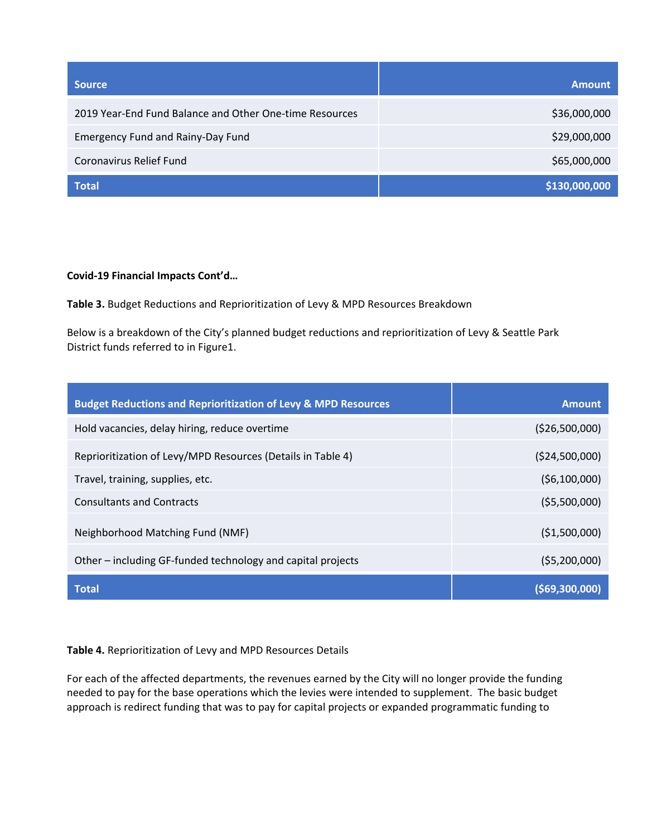| <b>Source</b>                                           | <b>Amount</b> |
|---------------------------------------------------------|---------------|
| 2019 Year-End Fund Balance and Other One-time Resources | \$36,000,000  |
| <b>Emergency Fund and Rainy-Day Fund</b>                | \$29,000,000  |
| Coronavirus Relief Fund                                 | \$65,000,000  |
| <b>Total</b>                                            | \$130,000,000 |

## **Covid-19 Financial Impacts Cont'd…**

**Table 3.** Budget Reductions and Reprioritization of Levy & MPD Resources Breakdown

Below is a breakdown of the City's planned budget reductions and reprioritization of Levy & Seattle Park District funds referred to in Figure1.

| <b>Budget Reductions and Reprioritization of Levy &amp; MPD Resources</b> | <b>Amount</b>     |
|---------------------------------------------------------------------------|-------------------|
| Hold vacancies, delay hiring, reduce overtime                             | ( \$26,500,000)   |
| Reprioritization of Levy/MPD Resources (Details in Table 4)               | (\$24,500,000)    |
| Travel, training, supplies, etc.                                          | (56, 100, 000)    |
| <b>Consultants and Contracts</b>                                          | (55,500,000)      |
| Neighborhood Matching Fund (NMF)                                          | (51,500,000)      |
| Other - including GF-funded technology and capital projects               | (55,200,000)      |
| <b>Total</b>                                                              | $($ \$69,300,000) |

#### **Table 4.** Reprioritization of Levy and MPD Resources Details

For each of the affected departments, the revenues earned by the City will no longer provide the funding needed to pay for the base operations which the levies were intended to supplement. The basic budget approach is redirect funding that was to pay for capital projects or expanded programmatic funding to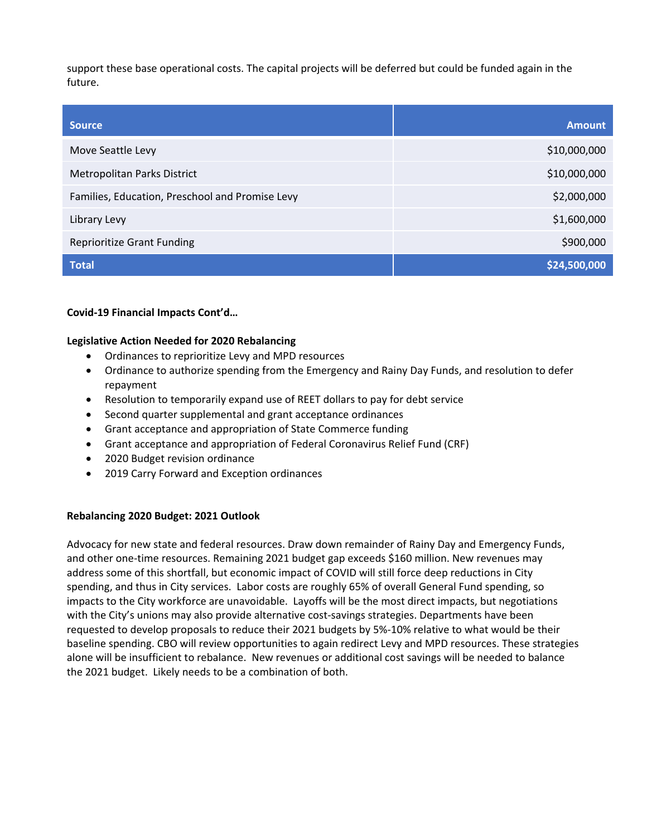support these base operational costs. The capital projects will be deferred but could be funded again in the future.

| <b>Source</b>                                   | <b>Amount</b> |
|-------------------------------------------------|---------------|
| Move Seattle Levy                               | \$10,000,000  |
| Metropolitan Parks District                     | \$10,000,000  |
| Families, Education, Preschool and Promise Levy | \$2,000,000   |
| Library Levy                                    | \$1,600,000   |
| <b>Reprioritize Grant Funding</b>               | \$900,000     |
| <b>Total</b>                                    | \$24,500,000  |

**Covid-19 Financial Impacts Cont'd…**

#### **Legislative Action Needed for 2020 Rebalancing**

- Ordinances to reprioritize Levy and MPD resources
- Ordinance to authorize spending from the Emergency and Rainy Day Funds, and resolution to defer repayment
- Resolution to temporarily expand use of REET dollars to pay for debt service
- Second quarter supplemental and grant acceptance ordinances
- Grant acceptance and appropriation of State Commerce funding
- Grant acceptance and appropriation of Federal Coronavirus Relief Fund (CRF)
- 2020 Budget revision ordinance
- 2019 Carry Forward and Exception ordinances

#### **Rebalancing 2020 Budget: 2021 Outlook**

Advocacy for new state and federal resources. Draw down remainder of Rainy Day and Emergency Funds, and other one-time resources. Remaining 2021 budget gap exceeds \$160 million. New revenues may address some of this shortfall, but economic impact of COVID will still force deep reductions in City spending, and thus in City services. Labor costs are roughly 65% of overall General Fund spending, so impacts to the City workforce are unavoidable. Layoffs will be the most direct impacts, but negotiations with the City's unions may also provide alternative cost-savings strategies. Departments have been requested to develop proposals to reduce their 2021 budgets by 5%-10% relative to what would be their baseline spending. CBO will review opportunities to again redirect Levy and MPD resources. These strategies alone will be insufficient to rebalance. New revenues or additional cost savings will be needed to balance the 2021 budget. Likely needs to be a combination of both.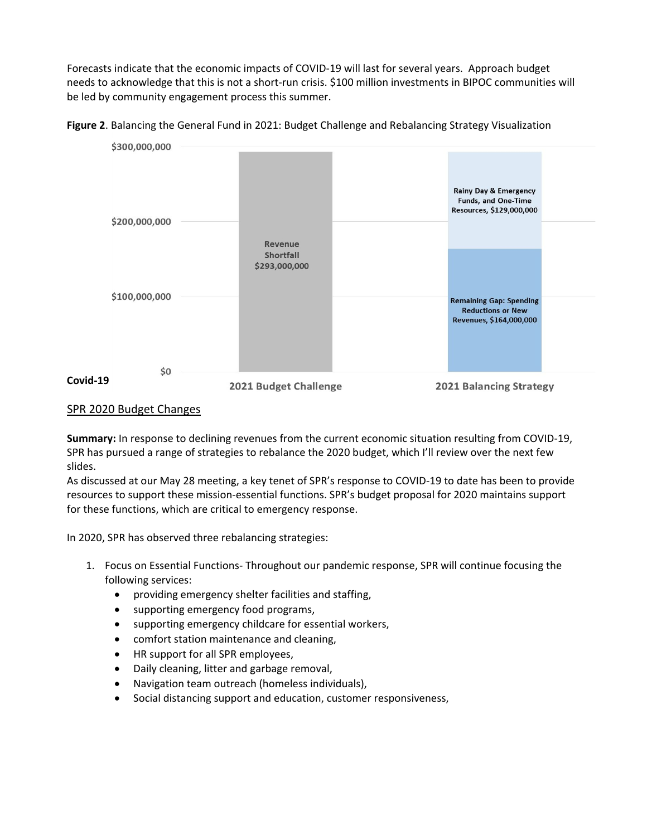Forecasts indicate that the economic impacts of COVID-19 will last for several years. Approach budget needs to acknowledge that this is not a short-run crisis. \$100 million investments in BIPOC communities will be led by community engagement process this summer.





## SPR 2020 Budget Changes

**Summary:** In response to declining revenues from the current economic situation resulting from COVID-19, SPR has pursued a range of strategies to rebalance the 2020 budget, which I'll review over the next few slides.

As discussed at our May 28 meeting, a key tenet of SPR's response to COVID-19 to date has been to provide resources to support these mission-essential functions. SPR's budget proposal for 2020 maintains support for these functions, which are critical to emergency response.

In 2020, SPR has observed three rebalancing strategies:

- 1. Focus on Essential Functions- Throughout our pandemic response, SPR will continue focusing the following services:
	- providing emergency shelter facilities and staffing,
	- supporting emergency food programs,
	- supporting emergency childcare for essential workers,
	- comfort station maintenance and cleaning,
	- HR support for all SPR employees,
	- Daily cleaning, litter and garbage removal,
	- Navigation team outreach (homeless individuals),
	- Social distancing support and education, customer responsiveness,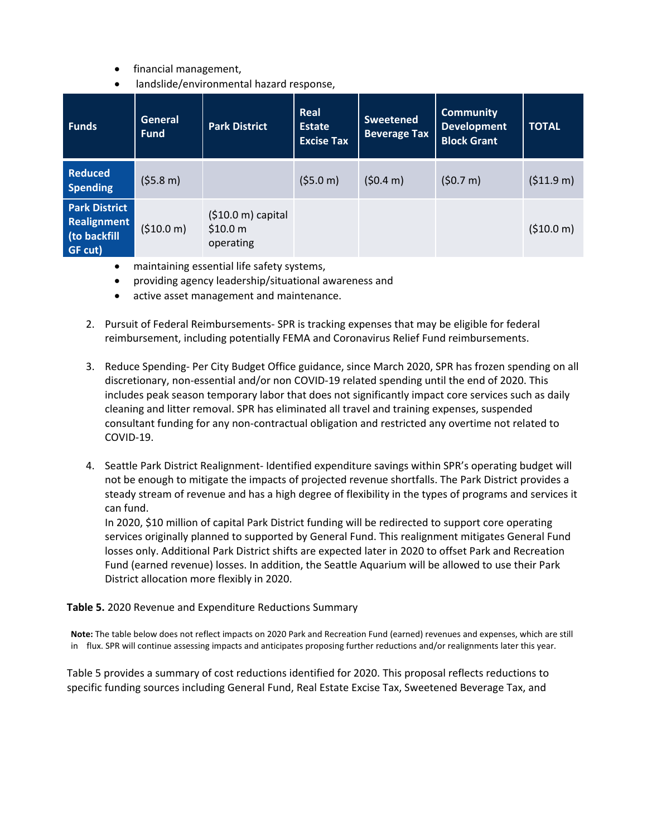- financial management,
- landslide/environmental hazard response,

| <b>Funds</b>                                                   | <b>General</b><br><b>Fund</b> | <b>Park District</b>                                 | Real<br>Estate<br><b>Excise Tax</b> | <b>Sweetened</b><br><b>Beverage Tax</b> | <b>Community</b><br><b>Development</b><br><b>Block Grant</b> | <b>TOTAL</b>         |
|----------------------------------------------------------------|-------------------------------|------------------------------------------------------|-------------------------------------|-----------------------------------------|--------------------------------------------------------------|----------------------|
| <b>Reduced</b><br><b>Spending</b>                              | (55.8 m)                      |                                                      | (55.0 m)                            | (50.4 m)                                | (50.7 m)                                                     | $( $11.9 \text{ m})$ |
| <b>Park District</b><br>Realignment<br>(to backfill<br>GF cut) | ( \$10.0 m)                   | $(510.0 \text{ m})$ capital<br>\$10.0 m<br>operating |                                     |                                         |                                                              | (510.0 m)            |

- maintaining essential life safety systems,
- providing agency leadership/situational awareness and
- active asset management and maintenance.
- 2. Pursuit of Federal Reimbursements- SPR is tracking expenses that may be eligible for federal reimbursement, including potentially FEMA and Coronavirus Relief Fund reimbursements.
- 3. Reduce Spending- Per City Budget Office guidance, since March 2020, SPR has frozen spending on all discretionary, non-essential and/or non COVID-19 related spending until the end of 2020. This includes peak season temporary labor that does not significantly impact core services such as daily cleaning and litter removal. SPR has eliminated all travel and training expenses, suspended consultant funding for any non-contractual obligation and restricted any overtime not related to COVID-19.
- 4. Seattle Park District Realignment- Identified expenditure savings within SPR's operating budget will not be enough to mitigate the impacts of projected revenue shortfalls. The Park District provides a steady stream of revenue and has a high degree of flexibility in the types of programs and services it can fund.

In 2020, \$10 million of capital Park District funding will be redirected to support core operating services originally planned to supported by General Fund. This realignment mitigates General Fund losses only. Additional Park District shifts are expected later in 2020 to offset Park and Recreation Fund (earned revenue) losses. In addition, the Seattle Aquarium will be allowed to use their Park District allocation more flexibly in 2020.

#### **Table 5.** 2020 Revenue and Expenditure Reductions Summary

**Note:** The table below does not reflect impacts on 2020 Park and Recreation Fund (earned) revenues and expenses, which are still in flux. SPR will continue assessing impacts and anticipates proposing further reductions and/or realignments later this year.

Table 5 provides a summary of cost reductions identified for 2020. This proposal reflects reductions to specific funding sources including General Fund, Real Estate Excise Tax, Sweetened Beverage Tax, and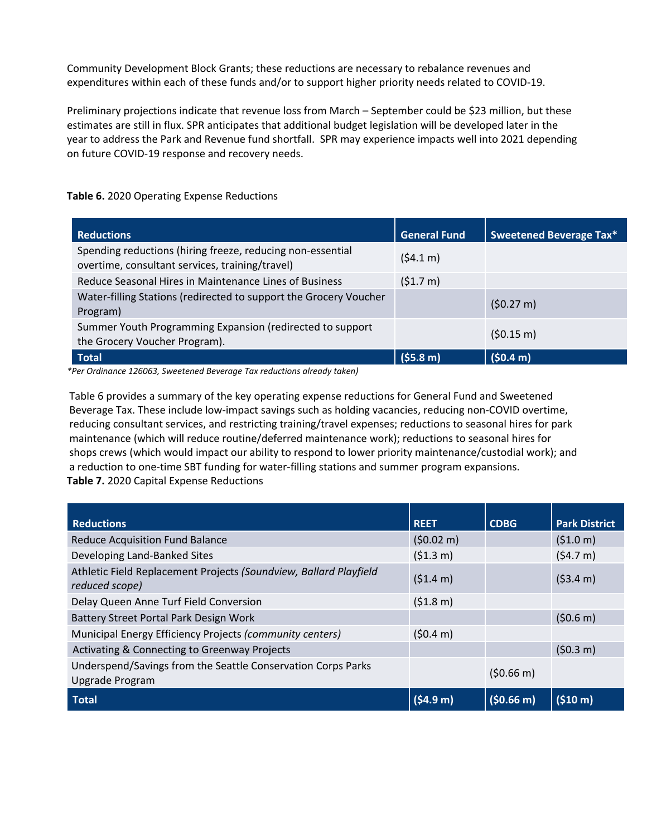Community Development Block Grants; these reductions are necessary to rebalance revenues and expenditures within each of these funds and/or to support higher priority needs related to COVID-19.

Preliminary projections indicate that revenue loss from March – September could be \$23 million, but these estimates are still in flux. SPR anticipates that additional budget legislation will be developed later in the year to address the Park and Revenue fund shortfall. SPR may experience impacts well into 2021 depending on future COVID-19 response and recovery needs.

| <b>Reductions</b>                                                                                             | <b>General Fund</b>  | Sweetened Beverage Tax* |
|---------------------------------------------------------------------------------------------------------------|----------------------|-------------------------|
| Spending reductions (hiring freeze, reducing non-essential<br>overtime, consultant services, training/travel) | (54.1 m)             |                         |
| Reduce Seasonal Hires in Maintenance Lines of Business                                                        | (51.7 m)             |                         |
| Water-filling Stations (redirected to support the Grocery Voucher<br>Program)                                 |                      | (50.27 m)               |
| Summer Youth Programming Expansion (redirected to support<br>the Grocery Voucher Program).                    |                      | (50.15 m)               |
| <b>Total</b>                                                                                                  | (55.8 <sub>m</sub> ) | (50.4 m)                |

**Table 6.** 2020 Operating Expense Reductions

*\*Per Ordinance 126063, Sweetened Beverage Tax reductions already taken)*

Table 6 provides a summary of the key operating expense reductions for General Fund and Sweetened Beverage Tax. These include low-impact savings such as holding vacancies, reducing non-COVID overtime, reducing consultant services, and restricting training/travel expenses; reductions to seasonal hires for park maintenance (which will reduce routine/deferred maintenance work); reductions to seasonal hires for shops crews (which would impact our ability to respond to lower priority maintenance/custodial work); and a reduction to one-time SBT funding for water-filling stations and summer program expansions. **Table 7.** 2020 Capital Expense Reductions

| <b>Reductions</b>                                                                   | <b>REET</b> | <b>CDBG</b> | <b>Park District</b> |
|-------------------------------------------------------------------------------------|-------------|-------------|----------------------|
| <b>Reduce Acquisition Fund Balance</b>                                              | (50.02 m)   |             | (51.0 m)             |
| Developing Land-Banked Sites                                                        | (51.3 m)    |             | (54.7 m)             |
| Athletic Field Replacement Projects (Soundview, Ballard Playfield<br>reduced scope) | (51.4 m)    |             | (53.4 m)             |
| Delay Queen Anne Turf Field Conversion                                              | (51.8 m)    |             |                      |
| Battery Street Portal Park Design Work                                              |             |             | (50.6 m)             |
| Municipal Energy Efficiency Projects (community centers)                            | (50.4 m)    |             |                      |
| <b>Activating &amp; Connecting to Greenway Projects</b>                             |             |             | (50.3 m)             |
| Underspend/Savings from the Seattle Conservation Corps Parks<br>Upgrade Program     |             | (50.66 m)   |                      |
| <b>Total</b>                                                                        | (54.9 m)    | (50.66 m)   | (510 m)              |